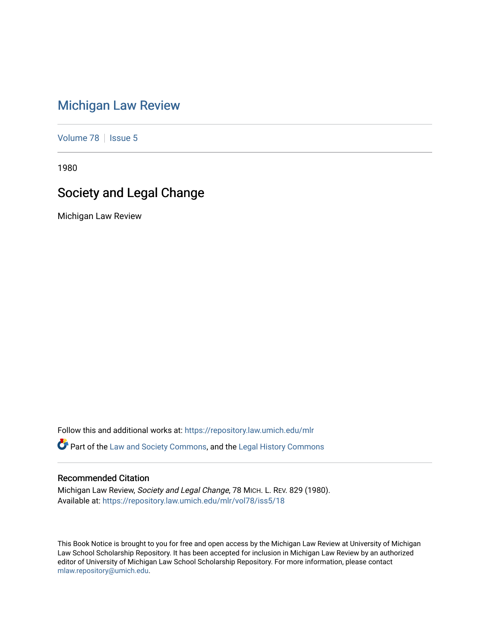## [Michigan Law Review](https://repository.law.umich.edu/mlr)

[Volume 78](https://repository.law.umich.edu/mlr/vol78) | [Issue 5](https://repository.law.umich.edu/mlr/vol78/iss5)

1980

## Society and Legal Change

Michigan Law Review

Follow this and additional works at: [https://repository.law.umich.edu/mlr](https://repository.law.umich.edu/mlr?utm_source=repository.law.umich.edu%2Fmlr%2Fvol78%2Fiss5%2F18&utm_medium=PDF&utm_campaign=PDFCoverPages)  Part of the [Law and Society Commons](http://network.bepress.com/hgg/discipline/853?utm_source=repository.law.umich.edu%2Fmlr%2Fvol78%2Fiss5%2F18&utm_medium=PDF&utm_campaign=PDFCoverPages), and the [Legal History Commons](http://network.bepress.com/hgg/discipline/904?utm_source=repository.law.umich.edu%2Fmlr%2Fvol78%2Fiss5%2F18&utm_medium=PDF&utm_campaign=PDFCoverPages)

## Recommended Citation

Michigan Law Review, Society and Legal Change, 78 MICH. L. REV. 829 (1980). Available at: [https://repository.law.umich.edu/mlr/vol78/iss5/18](https://repository.law.umich.edu/mlr/vol78/iss5/18?utm_source=repository.law.umich.edu%2Fmlr%2Fvol78%2Fiss5%2F18&utm_medium=PDF&utm_campaign=PDFCoverPages) 

This Book Notice is brought to you for free and open access by the Michigan Law Review at University of Michigan Law School Scholarship Repository. It has been accepted for inclusion in Michigan Law Review by an authorized editor of University of Michigan Law School Scholarship Repository. For more information, please contact [mlaw.repository@umich.edu.](mailto:mlaw.repository@umich.edu)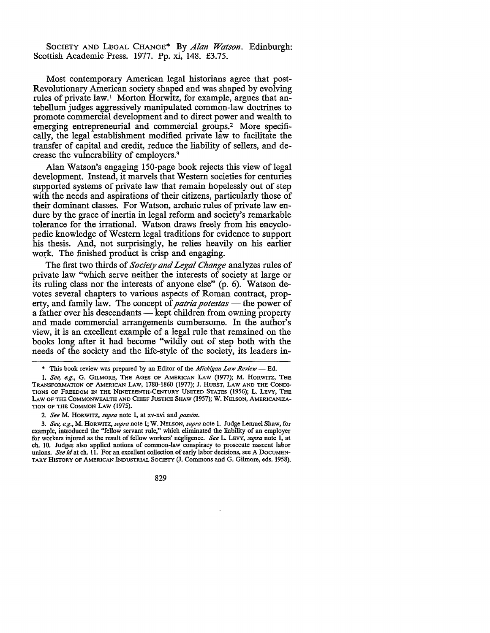SOCIETY AND LEGAL CHANGE\* By *Alan Watson.* Edinburgh: Scottish Academic Press. 1977. Pp. xi, 148. £3.75.

Most contemporary American legal historians agree that post-Revolutionary American society shaped and was shaped by evolving rules of private law.<sup>1</sup> Morton Horwitz, for example, argues that antebellum judges aggressively manipulated common-law doctrines to promote commercial development and to direct power and wealth to emerging entrepreneurial and commercial groups.2 More specifically, the legal establishment modified private law to facilitate the transfer of capital and credit, reduce the liability of sellers, and decrease the vulnerability of employers.<sup>3</sup>

Alan Watson's engaging 150-page book rejects this view of legal development. Instead, it marvels that Western societies for centuries supported systems of private law that remain hopelessly out of step with the needs and aspirations of their citizens, particularly those of their dominant classes. For Watson, archaic rules of private law endure by the grace of inertia in legal reform and society's remarkable tolerance for the irrational. Watson draws freely from his encyclopedic knowledge of Western legal traditions for evidence to support his thesis. And, not surprisingly, he relies heavily on his earlier work. The finished product is crisp and engaging.

The first two thirds of *Society and Legal Change* analyzes rules of private law ''which serve neither the interests of society at large or its ruling class nor the interests of anyone else" (p. 6). Watson devotes several chapters to various aspects of Roman contract, property, and family law. The concept of *patria potestas* - the power of a father over his descendants — kept children from owning property and made commercial arrangements cumbersome. In the author's view, it is an excellent example of a legal rule that remained on the books long after it had become "wildly out of step both with the needs of the society and the life-style of the society, its leaders in-

2. *See* **M.** HORWITZ, *supra* note l, at xv-xvi and *passim.* 

<sup>\*</sup> This book review was prepared by an Editor of the *Michigan Law Review* - Ed.

l. *See, e.g.,* G. GILMORE, THE AGES OF AMERICAN LAW (1977); M. HORWITZ, THE TRANSFORMATION OF AMERICAN LAW, 1780-1860 (1977); J. HURST, LAW AND THE CONDI-TIONS OF FREEDOM IN THE NINETEENTH-CENTURY UNITED STATES (1956); L. LEVY, THE LAW OF THE COMMONWEALTH AND CHIEF JUSTICE SHAW (1957); W. NELSON, AMERICANIZA-TION OF THE COMMON LAW (1975).

<sup>3.</sup> *See, e.g.,* **M.** HORWITZ, *supra* note I; W. NELSON, *supra* note l. Judge Lemuel Shaw, for example, introduced the "fellow servant rule," which eliminated the liability of an employer for workers injured as the result of fellow workers' negligence. *See* L. LEVY, *supra* note l, at ch. 10. Judges also applied notions of common-law conspiracy to prosecute nascent labor unions. *See id* at ch. 11. For an excellent collection of early labor decisions, see A DOCUMEN-TARY HISTORY OF AMERICAN INDUSTRIAL SOCIETY (J. Commons and G. Gilmore, eds. 1958).

<sup>829</sup>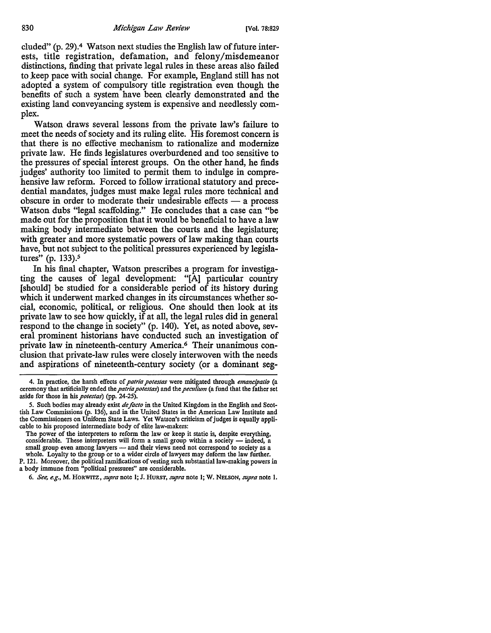eluded" (p. 29).4 Watson next studies the English law of future interests, title registration, defamation, and felony /misdemeanor distinctions, finding that private legal rules in these areas also failed to keep pace with social change. For example, England still has not adopted a system of compulsory title registration even though the benefits of such a system have been clearly demonstrated and the existing land conveyancing system is expensive and needlessly complex.

Watson draws several lessons from the private law's failure to meet the needs of society and its ruling elite. His foremost concern is that there is no effective mechanism to rationalize and modernize private law. He finds legislatures overburdened and too sensitive to the pressures of special interest groups. On the other hand, he finds judges' authority too limited to permit them to indulge in comprehensive law reform. Forced to follow irrational statutory and precedential mandates, judges must make legal rules more technical and obscure in order to moderate their undesirable effects  $-$  a process Watson dubs "legal scaffolding." He concludes that a case can "be made out for the proposition that it would be beneficial to have a law making body intermediate between the courts and the legislature; with greater and more systematic powers of law making than courts have, but not subject to the political pressures experienced by legislatures" (p. 133).<sup>5</sup>

In his final chapter, Watson prescribes a program for investigating the causes of legal development: "[A] particular country [should] be studied for a considerable period of its history during which it underwent marked changes in its circumstances whether social, economic, political, or religious. One should then look at its private law to see how quickly, if at all, the legal rules did in general respond to the change in society" (p. 140). Yet, as noted above, several prominent historians have conducted such an investigation of private law in nineteenth-century America.6 Their unanimous conclusion that private-law rules were closely interwoven with the needs and aspirations of nineteenth-century society (or a dominant seg-

a body immune from "political pressures" are considerable.

6. *See, e.g.,* M. HORWITZ, *supra* note l; J. HURST, *supra* note I; W. NELSON, *supra* note 1.

<sup>4.</sup> In practice, the harsh effects of *patria poles/as* were mitigated through *emancipatio* (a ceremony that artificially ended the *patria poles/as)* and the *pecu/ium* (a fund that the father set aside for those in his *poles/as)* (pp. 24-25).

<sup>5.</sup> Such bodies may already exist *de facto* in the United Kingdom in the English and Scottish Law Commissions (p. 136), and in the United States in the American Law Institute and the Commissioners on Uniform State Laws. Yet Watson's criticism of judges is equally applicable to his proposed intermediate body of elite law-makers:

The power of the interpreters to reform the law or keep it static is, despite everything, considerable. These interpreters will form a small group within a society - indeed, a small group even among lawyers — and their views need not correspond to society as a whole. Loyalty to the group or to a wider circle of lawyers may deform the law further. P. 121. Moreover, the political ramifications of vesting such substantial law-making powers in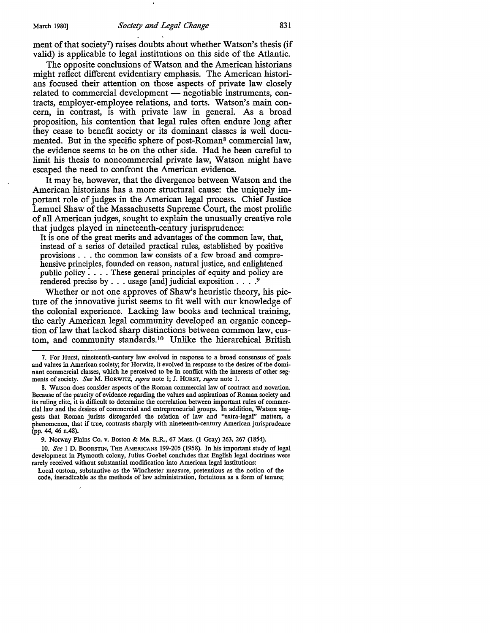ment of that society7) raises doubts about whether Watson's thesis (if valid) is applicable to legal institutions on this side of the Atlantic.

The opposite conclusions of Watson and the American historians might reflect different evidentiary emphasis. The American historians focused their attention on those aspects of private law closely related to commercial development - negotiable instruments, contracts, employer-employee relations, and torts. Watson's main concern, in contrast, is with private law in general. As a broad proposition, his contention that legal rules often endure long after they cease to benefit society or its dominant classes is well documented. But in the specific sphere of post-Roman<sup>8</sup> commercial law, the evidence seems to be on the other side. Had he been careful to limit his thesis to noncommercial private law, Watson might have escaped the need to confront the American evidence.

It may be, however, that the divergence between Watson and the American historians has a more structural cause: the uniquely important role of judges in the American legal process. Chief Justice Lemuel Shaw of the Massachusetts Supreme Court, the most prolific of all American judges, sought to explain the unusually creative role that judges played in nineteenth-century jurisprudence:

It is one of the great merits and advantages of the common law, that, instead of a series of detailed practical rules, established by positive provisions . . . the common law consists of a few broad and comprehensive principles, founded on reason, natural justice, and enlightened public policy . . . . These general principles of equity and policy are rendered precise by . . . usage [and] judicial exposition . . . . 9

Whether or not one approves of Shaw's heuristic theory, his picture of the innovative jurist seems to fit well with our knowledge of the colonial experience. Lacking law books and technical training, the early American legal community developed an organic conception of law that lacked sharp distinctions between common law, custom, and community standards.<sup>10</sup> Unlike the hierarchical British

7. For Hurst, nineteenth-century law evolved in response to a broad consensus of goals and values in American society; for Horwitz, it evolved in response to the desires of the dominant commercial classes, which he perceived to be in conflict with the interests of other segments of society. *See* M. HORWITZ, *supra* note I; J. HURST, *supra* note I.

8. Watson does consider aspects of the Roman commercial law of contract and novation. Because of the paucity of evidence regarding the values and aspirations of Roman society and its ruling elite, it is difficult to determine the correlation between important rules of commercial law and the desires of commercial and entrepreneurial groups. In addition, Watson suggests that Roman jurists disregarded the relation of law and "extra-legal" matters, a phenomenon, that if true, contrasts sharply with nineteenth-century American jurisprudence (pp. 44, 46 n.48).

10. *See* 1 D. BOORSTIN, THE AMERICANS 199-205 (1958). In his important study of legal development in Plymouth colony, Julius Goebel concludes that English legal doctrines were rarely received without substantial modification into American legal institutions:

Local custom, substantive as the Winchester measure, pretentious as the notion of the code, ineradicable as the methods of law administration, fortuitous as a form of tenure;

<sup>9.</sup> Norway Plains Co. v. Boston & Me. R.R., 67 Mass. (1 Gray) 263, 267 (1854).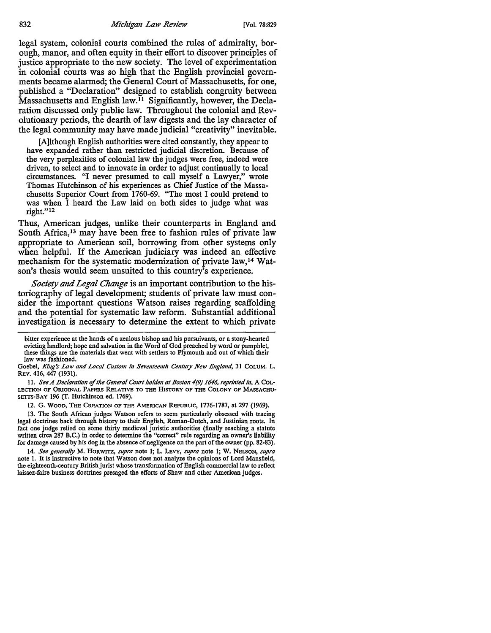legal system, colonial courts combined the rules of admiralty, borough, manor, and often equity in their effort to discover principles of justice appropriate to the new society. The level of experimentation in colonial courts was so high that the English provincial governments became alarmed; the General Court of Massachusetts, for one, published a "Declaration" designed to establish congruity between Massachusetts and English law.<sup>11</sup> Significantly, however, the Declaration discussed only public law. Throughout the colonial and Revolutionary periods, the dearth of law digests and the lay character of the legal community may have made judicial "creativity" inevitable.

[A]lthough English authorities were cited constantly, they appear to have expanded rather than restricted judicial discretion. Because of the very perplexities of colonial law the judges were free, indeed were driven, to select and to innovate in order to adjust continually to local circumstances. "I never presumed to call myself a Lawyer," wrote Thomas Hutchinson of his experiences as Chief Justice of the Massachusetts Superior Court from 1760-69. "The most I could pretend to was when I heard the Law laid on both sides to judge what was right."12

Thus, American judges, unlike their counterparts in England and South Africa,<sup>13</sup> may have been free to fashion rules of private law appropriate to American soil, borrowing from other systems only when helpful. If the American judiciary was indeed an effective mechanism for the systematic modernization of private law, 14 Watson's thesis would seem unsuited to this country's experience.

*Society and Legal Change* is an important contribution to the historiography of legal development; students of private law must consider the important questions Watson raises regarding scaffolding and the potential for systematic law reform. Substantial additional investigation is necessary to determine the extent to which private

Goebel, *King's Law and Local Custom in Seventeenth Century New England,* 31 CoLUM, L. REV. 416,447 (1931).

11. See A Declaration of the General Court holden at Boston 4(9) 1646, reprinted in, A COL-LECTION OF ORIGINAL PAPERS RELATIVE TO THE HISTORY OF THE COLONY OF MASSACHU• SETTS-BAY 196 (f. Hutchinson ed. 1769).

12. G. WOOD, THE CREATION OF THE AMERICAN REPUBLIC, 1776-1787, at 297 (1969).

13. The South African judges Watson refers to seem particularly obsessed with tracing legal doctrines back through history to their English, Roman-Dutch, and Justinian roots. In fact one judge relied on some thirty medieval juristic authorities (finally reaching a statute written circa 287 B.C.) in order to determine the "correct" rule regarding an owner's liability for damage caused by his dog in the absence of negligence on the part of the owner (pp. 82-83),

14. *See generally* M. HORWITZ, *supra* note 1; L. LEVY, *supra* note 1; W. NELSON, *supra* note 1. It is instructive to note that Watson does not analyze the opinions of Lord Mansfield, the eighteenth-century British jurist whose transformation of English commercial law to reflect laissez-faire business doctrines presaged the efforts of Shaw and other American judges.

bitter experience at the hands of a zealous bishop and his pursuivants, or a stony-hearted evicting landlord; hope and salvation in the Word of God preached by word or pamphlet, these things are the materials that went with settlers to Plymouth and out of which their law was fashioned.